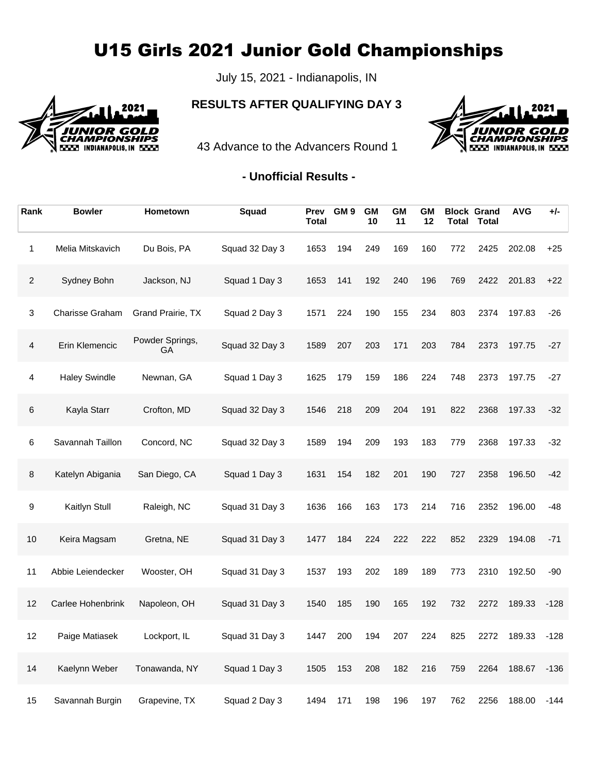## U15 Girls 2021 Junior Gold Championships

July 15, 2021 - Indianapolis, IN



## **RESULTS AFTER QUALIFYING DAY 3**



43 Advance to the Advancers Round 1

## **- Unofficial Results -**

| Rank           | <b>Bowler</b>        | Hometown                     | Squad          | Prev<br><b>Total</b> | GM <sub>9</sub> | <b>GM</b><br>10 | <b>GM</b><br>11 | <b>GM</b><br>12 | Total | <b>Block Grand</b><br><b>Total</b> | <b>AVG</b> | +/-    |
|----------------|----------------------|------------------------------|----------------|----------------------|-----------------|-----------------|-----------------|-----------------|-------|------------------------------------|------------|--------|
| 1              | Melia Mitskavich     | Du Bois, PA                  | Squad 32 Day 3 | 1653                 | 194             | 249             | 169             | 160             | 772   | 2425                               | 202.08     | $+25$  |
| $\overline{2}$ | Sydney Bohn          | Jackson, NJ                  | Squad 1 Day 3  | 1653                 | 141             | 192             | 240             | 196             | 769   | 2422                               | 201.83     | $+22$  |
| 3              | Charisse Graham      | Grand Prairie, TX            | Squad 2 Day 3  | 1571                 | 224             | 190             | 155             | 234             | 803   | 2374                               | 197.83     | $-26$  |
| $\overline{4}$ | Erin Klemencic       | Powder Springs,<br><b>GA</b> | Squad 32 Day 3 | 1589                 | 207             | 203             | 171             | 203             | 784   | 2373                               | 197.75     | $-27$  |
| 4              | <b>Haley Swindle</b> | Newnan, GA                   | Squad 1 Day 3  | 1625                 | 179             | 159             | 186             | 224             | 748   | 2373                               | 197.75     | -27    |
| $\,6$          | Kayla Starr          | Crofton, MD                  | Squad 32 Day 3 | 1546                 | 218             | 209             | 204             | 191             | 822   | 2368                               | 197.33     | $-32$  |
| 6              | Savannah Taillon     | Concord, NC                  | Squad 32 Day 3 | 1589                 | 194             | 209             | 193             | 183             | 779   | 2368                               | 197.33     | $-32$  |
| $\bf 8$        | Katelyn Abigania     | San Diego, CA                | Squad 1 Day 3  | 1631                 | 154             | 182             | 201             | 190             | 727   | 2358                               | 196.50     | -42    |
| 9              | Kaitlyn Stull        | Raleigh, NC                  | Squad 31 Day 3 | 1636                 | 166             | 163             | 173             | 214             | 716   | 2352                               | 196.00     | -48    |
| 10             | Keira Magsam         | Gretna, NE                   | Squad 31 Day 3 | 1477                 | 184             | 224             | 222             | 222             | 852   | 2329                               | 194.08     | $-71$  |
| 11             | Abbie Leiendecker    | Wooster, OH                  | Squad 31 Day 3 | 1537                 | 193             | 202             | 189             | 189             | 773   | 2310                               | 192.50     | -90    |
| 12             | Carlee Hohenbrink    | Napoleon, OH                 | Squad 31 Day 3 | 1540                 | 185             | 190             | 165             | 192             | 732   | 2272                               | 189.33     | $-128$ |
| 12             | Paige Matiasek       | Lockport, IL                 | Squad 31 Day 3 | 1447                 | 200             | 194             | 207             | 224             | 825   | 2272                               | 189.33     | $-128$ |
| 14             | Kaelynn Weber        | Tonawanda, NY                | Squad 1 Day 3  | 1505                 | 153             | 208             | 182             | 216             | 759   | 2264                               | 188.67     | $-136$ |
| 15             | Savannah Burgin      | Grapevine, TX                | Squad 2 Day 3  | 1494                 | 171             | 198             | 196             | 197             | 762   | 2256                               | 188.00     | -144   |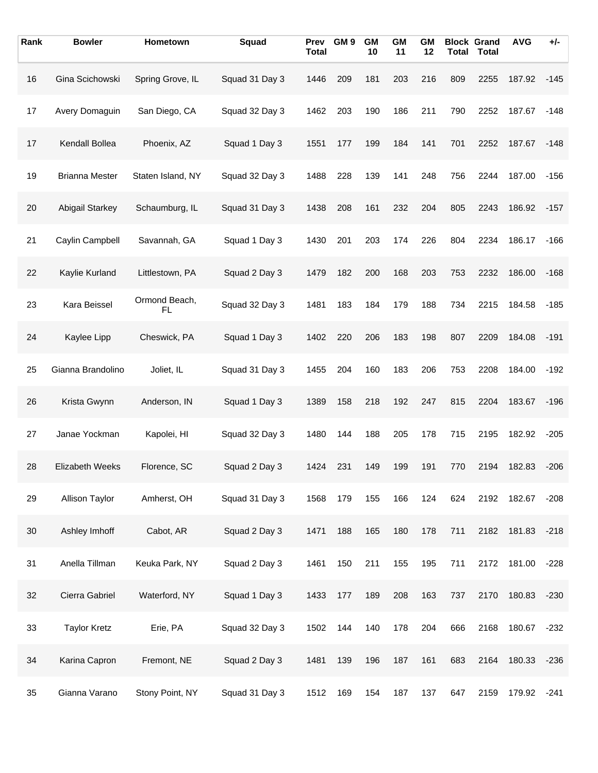| Rank | <b>Bowler</b>          | Hometown            | Squad          | Prev<br><b>Total</b> | GM <sub>9</sub> | <b>GM</b><br>10 | <b>GM</b><br>11 | <b>GM</b><br>12 |     | <b>Block Grand</b><br><b>Total Total</b> | <b>AVG</b> | $+/-$  |
|------|------------------------|---------------------|----------------|----------------------|-----------------|-----------------|-----------------|-----------------|-----|------------------------------------------|------------|--------|
| 16   | Gina Scichowski        | Spring Grove, IL    | Squad 31 Day 3 | 1446                 | 209             | 181             | 203             | 216             | 809 | 2255                                     | 187.92     | $-145$ |
| 17   | Avery Domaguin         | San Diego, CA       | Squad 32 Day 3 | 1462                 | 203             | 190             | 186             | 211             | 790 | 2252                                     | 187.67     | $-148$ |
| 17   | Kendall Bollea         | Phoenix, AZ         | Squad 1 Day 3  | 1551                 | 177             | 199             | 184             | 141             | 701 | 2252                                     | 187.67     | $-148$ |
| 19   | <b>Brianna Mester</b>  | Staten Island, NY   | Squad 32 Day 3 | 1488                 | 228             | 139             | 141             | 248             | 756 | 2244                                     | 187.00     | $-156$ |
| 20   | <b>Abigail Starkey</b> | Schaumburg, IL      | Squad 31 Day 3 | 1438                 | 208             | 161             | 232             | 204             | 805 | 2243                                     | 186.92     | $-157$ |
| 21   | Caylin Campbell        | Savannah, GA        | Squad 1 Day 3  | 1430                 | 201             | 203             | 174             | 226             | 804 | 2234                                     | 186.17     | $-166$ |
| 22   | Kaylie Kurland         | Littlestown, PA     | Squad 2 Day 3  | 1479                 | 182             | 200             | 168             | 203             | 753 | 2232                                     | 186.00     | $-168$ |
| 23   | Kara Beissel           | Ormond Beach,<br>FL | Squad 32 Day 3 | 1481                 | 183             | 184             | 179             | 188             | 734 | 2215                                     | 184.58     | $-185$ |
| 24   | Kaylee Lipp            | Cheswick, PA        | Squad 1 Day 3  | 1402                 | 220             | 206             | 183             | 198             | 807 | 2209                                     | 184.08     | $-191$ |
| 25   | Gianna Brandolino      | Joliet, IL          | Squad 31 Day 3 | 1455                 | 204             | 160             | 183             | 206             | 753 | 2208                                     | 184.00     | $-192$ |
| 26   | Krista Gwynn           | Anderson, IN        | Squad 1 Day 3  | 1389                 | 158             | 218             | 192             | 247             | 815 | 2204                                     | 183.67     | $-196$ |
| 27   | Janae Yockman          | Kapolei, HI         | Squad 32 Day 3 | 1480                 | 144             | 188             | 205             | 178             | 715 | 2195                                     | 182.92     | $-205$ |
| 28   | <b>Elizabeth Weeks</b> | Florence, SC        | Squad 2 Day 3  | 1424                 | 231             | 149             | 199             | 191             | 770 | 2194                                     | 182.83     | $-206$ |
| 29   | Allison Taylor         | Amherst, OH         | Squad 31 Day 3 | 1568                 | 179             | 155             | 166             | 124             | 624 | 2192                                     | 182.67     | $-208$ |
| 30   | Ashley Imhoff          | Cabot, AR           | Squad 2 Day 3  | 1471                 | 188             | 165             | 180             | 178             | 711 | 2182                                     | 181.83     | $-218$ |
| 31   | Anella Tillman         | Keuka Park, NY      | Squad 2 Day 3  | 1461                 | 150             | 211             | 155             | 195             | 711 | 2172                                     | 181.00     | $-228$ |
| 32   | Cierra Gabriel         | Waterford, NY       | Squad 1 Day 3  | 1433                 | 177             | 189             | 208             | 163             | 737 | 2170                                     | 180.83     | $-230$ |
| 33   | <b>Taylor Kretz</b>    | Erie, PA            | Squad 32 Day 3 | 1502                 | 144             | 140             | 178             | 204             | 666 | 2168                                     | 180.67     | $-232$ |
| 34   | Karina Capron          | Fremont, NE         | Squad 2 Day 3  | 1481                 | 139             | 196             | 187             | 161             | 683 | 2164                                     | 180.33     | $-236$ |
| 35   | Gianna Varano          | Stony Point, NY     | Squad 31 Day 3 | 1512                 | 169             | 154             | 187             | 137             | 647 | 2159                                     | 179.92     | $-241$ |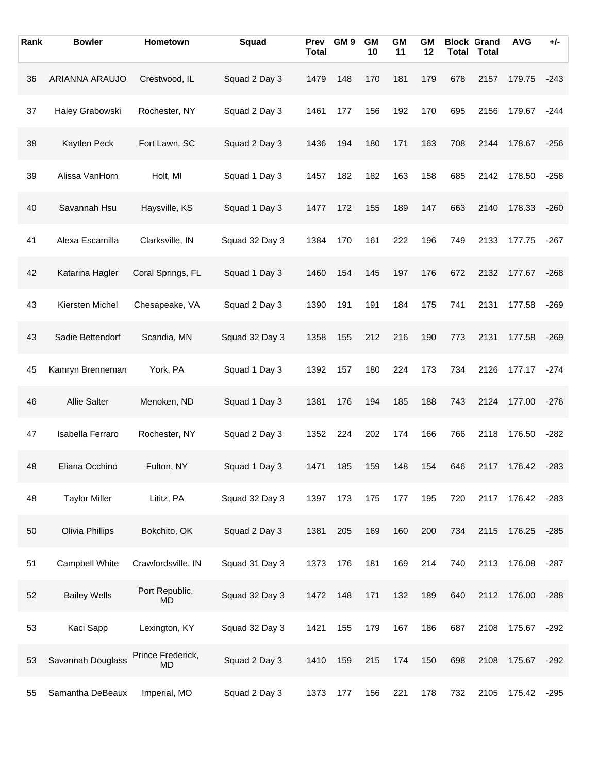| Rank | <b>Bowler</b>        | Hometown                | Squad          | <b>Prev</b><br><b>Total</b> | GM <sub>9</sub> | <b>GM</b><br>10 | <b>GM</b><br>11 | GМ<br>12 |     | <b>Block Grand</b><br><b>Total Total</b> | <b>AVG</b> | $+/-$  |
|------|----------------------|-------------------------|----------------|-----------------------------|-----------------|-----------------|-----------------|----------|-----|------------------------------------------|------------|--------|
| 36   | ARIANNA ARAUJO       | Crestwood, IL           | Squad 2 Day 3  | 1479                        | 148             | 170             | 181             | 179      | 678 | 2157                                     | 179.75     | $-243$ |
| 37   | Haley Grabowski      | Rochester, NY           | Squad 2 Day 3  | 1461                        | 177             | 156             | 192             | 170      | 695 | 2156                                     | 179.67     | $-244$ |
| 38   | Kaytlen Peck         | Fort Lawn, SC           | Squad 2 Day 3  | 1436                        | 194             | 180             | 171             | 163      | 708 | 2144                                     | 178.67     | $-256$ |
| 39   | Alissa VanHorn       | Holt, MI                | Squad 1 Day 3  | 1457                        | 182             | 182             | 163             | 158      | 685 | 2142                                     | 178.50     | $-258$ |
| 40   | Savannah Hsu         | Haysville, KS           | Squad 1 Day 3  | 1477                        | 172             | 155             | 189             | 147      | 663 | 2140                                     | 178.33     | $-260$ |
| 41   | Alexa Escamilla      | Clarksville, IN         | Squad 32 Day 3 | 1384                        | 170             | 161             | 222             | 196      | 749 | 2133                                     | 177.75     | $-267$ |
| 42   | Katarina Hagler      | Coral Springs, FL       | Squad 1 Day 3  | 1460                        | 154             | 145             | 197             | 176      | 672 | 2132                                     | 177.67     | $-268$ |
| 43   | Kiersten Michel      | Chesapeake, VA          | Squad 2 Day 3  | 1390                        | 191             | 191             | 184             | 175      | 741 | 2131                                     | 177.58     | $-269$ |
| 43   | Sadie Bettendorf     | Scandia, MN             | Squad 32 Day 3 | 1358                        | 155             | 212             | 216             | 190      | 773 | 2131                                     | 177.58     | $-269$ |
| 45   | Kamryn Brenneman     | York, PA                | Squad 1 Day 3  | 1392                        | 157             | 180             | 224             | 173      | 734 | 2126                                     | 177.17     | $-274$ |
| 46   | <b>Allie Salter</b>  | Menoken, ND             | Squad 1 Day 3  | 1381                        | 176             | 194             | 185             | 188      | 743 | 2124                                     | 177.00     | $-276$ |
| 47   | Isabella Ferraro     | Rochester, NY           | Squad 2 Day 3  | 1352                        | 224             | 202             | 174             | 166      | 766 | 2118                                     | 176.50     | $-282$ |
| 48   | Eliana Occhino       | Fulton, NY              | Squad 1 Day 3  | 1471                        | 185             | 159             | 148             | 154      | 646 | 2117                                     | 176.42     | $-283$ |
| 48   | <b>Taylor Miller</b> | Lititz, PA              | Squad 32 Day 3 | 1397                        | 173             | 175             | 177             | 195      | 720 | 2117                                     | 176.42     | $-283$ |
| 50   | Olivia Phillips      | Bokchito, OK            | Squad 2 Day 3  | 1381                        | 205             | 169             | 160             | 200      | 734 | 2115                                     | 176.25     | $-285$ |
| 51   | Campbell White       | Crawfordsville, IN      | Squad 31 Day 3 | 1373                        | 176             | 181             | 169             | 214      | 740 | 2113                                     | 176.08     | $-287$ |
| 52   | <b>Bailey Wells</b>  | Port Republic,<br>MD.   | Squad 32 Day 3 | 1472                        | 148             | 171             | 132             | 189      | 640 | 2112                                     | 176.00     | $-288$ |
| 53   | Kaci Sapp            | Lexington, KY           | Squad 32 Day 3 | 1421                        | 155             | 179             | 167             | 186      | 687 | 2108                                     | 175.67     | $-292$ |
| 53   | Savannah Douglass    | Prince Frederick,<br>MD | Squad 2 Day 3  | 1410                        | 159             | 215             | 174             | 150      | 698 | 2108                                     | 175.67     | $-292$ |
| 55   | Samantha DeBeaux     | Imperial, MO            | Squad 2 Day 3  | 1373                        | 177             | 156             | 221             | 178      | 732 | 2105                                     | 175.42     | $-295$ |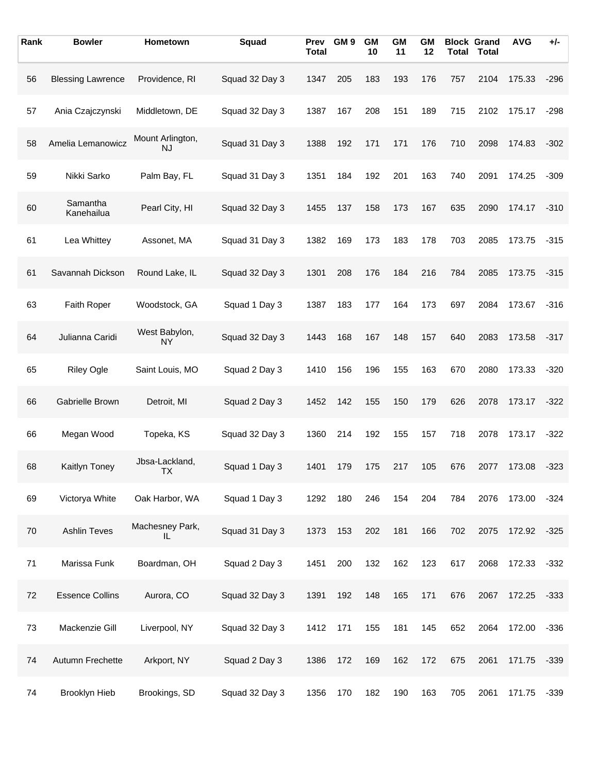| Rank | <b>Bowler</b>            | Hometown                                  | Squad          | <b>Prev</b><br><b>Total</b> | GM <sub>9</sub> | <b>GM</b><br>10 | <b>GM</b><br>11 | GΜ<br>12 |     | <b>Block Grand</b><br><b>Total Total</b> | <b>AVG</b> | $+/-$  |
|------|--------------------------|-------------------------------------------|----------------|-----------------------------|-----------------|-----------------|-----------------|----------|-----|------------------------------------------|------------|--------|
| 56   | <b>Blessing Lawrence</b> | Providence, RI                            | Squad 32 Day 3 | 1347                        | 205             | 183             | 193             | 176      | 757 | 2104                                     | 175.33     | $-296$ |
| 57   | Ania Czajczynski         | Middletown, DE                            | Squad 32 Day 3 | 1387                        | 167             | 208             | 151             | 189      | 715 | 2102                                     | 175.17     | $-298$ |
| 58   | Amelia Lemanowicz        | Mount Arlington,<br>NJ                    | Squad 31 Day 3 | 1388                        | 192             | 171             | 171             | 176      | 710 | 2098                                     | 174.83     | $-302$ |
| 59   | Nikki Sarko              | Palm Bay, FL                              | Squad 31 Day 3 | 1351                        | 184             | 192             | 201             | 163      | 740 | 2091                                     | 174.25     | $-309$ |
| 60   | Samantha<br>Kanehailua   | Pearl City, HI                            | Squad 32 Day 3 | 1455                        | 137             | 158             | 173             | 167      | 635 | 2090                                     | 174.17     | $-310$ |
| 61   | Lea Whittey              | Assonet, MA                               | Squad 31 Day 3 | 1382                        | 169             | 173             | 183             | 178      | 703 | 2085                                     | 173.75     | $-315$ |
| 61   | Savannah Dickson         | Round Lake, IL                            | Squad 32 Day 3 | 1301                        | 208             | 176             | 184             | 216      | 784 | 2085                                     | 173.75     | $-315$ |
| 63   | Faith Roper              | Woodstock, GA                             | Squad 1 Day 3  | 1387                        | 183             | 177             | 164             | 173      | 697 | 2084                                     | 173.67     | $-316$ |
| 64   | Julianna Caridi          | West Babylon,<br>NΥ                       | Squad 32 Day 3 | 1443                        | 168             | 167             | 148             | 157      | 640 | 2083                                     | 173.58     | $-317$ |
| 65   | <b>Riley Ogle</b>        | Saint Louis, MO                           | Squad 2 Day 3  | 1410                        | 156             | 196             | 155             | 163      | 670 | 2080                                     | 173.33     | $-320$ |
| 66   | Gabrielle Brown          | Detroit, MI                               | Squad 2 Day 3  | 1452                        | 142             | 155             | 150             | 179      | 626 | 2078                                     | 173.17     | $-322$ |
| 66   | Megan Wood               | Topeka, KS                                | Squad 32 Day 3 | 1360                        | 214             | 192             | 155             | 157      | 718 | 2078                                     | 173.17     | $-322$ |
| 68   | Kaitlyn Toney            | Jbsa-Lackland,<br>$\mathsf{I} \mathsf{X}$ | Squad 1 Day 3  | 1401                        | 179             | 175             | 217             | 105      | 676 | 2077                                     | 173.08     | $-323$ |
| 69   | Victorya White           | Oak Harbor, WA                            | Squad 1 Day 3  | 1292                        | 180             | 246             | 154             | 204      | 784 | 2076                                     | 173.00     | $-324$ |
| 70   | <b>Ashlin Teves</b>      | Machesney Park,<br>IL                     | Squad 31 Day 3 | 1373                        | 153             | 202             | 181             | 166      | 702 | 2075                                     | 172.92     | $-325$ |
| 71   | Marissa Funk             | Boardman, OH                              | Squad 2 Day 3  | 1451                        | 200             | 132             | 162             | 123      | 617 | 2068                                     | 172.33     | $-332$ |
| 72   | <b>Essence Collins</b>   | Aurora, CO                                | Squad 32 Day 3 | 1391                        | 192             | 148             | 165             | 171      | 676 | 2067                                     | 172.25     | $-333$ |
| 73   | Mackenzie Gill           | Liverpool, NY                             | Squad 32 Day 3 | 1412                        | 171             | 155             | 181             | 145      | 652 | 2064                                     | 172.00     | $-336$ |
| 74   | Autumn Frechette         | Arkport, NY                               | Squad 2 Day 3  | 1386                        | 172             | 169             | 162             | 172      | 675 | 2061                                     | 171.75     | $-339$ |
| 74   | Brooklyn Hieb            | Brookings, SD                             | Squad 32 Day 3 | 1356                        | 170             | 182             | 190             | 163      | 705 | 2061                                     | 171.75     | $-339$ |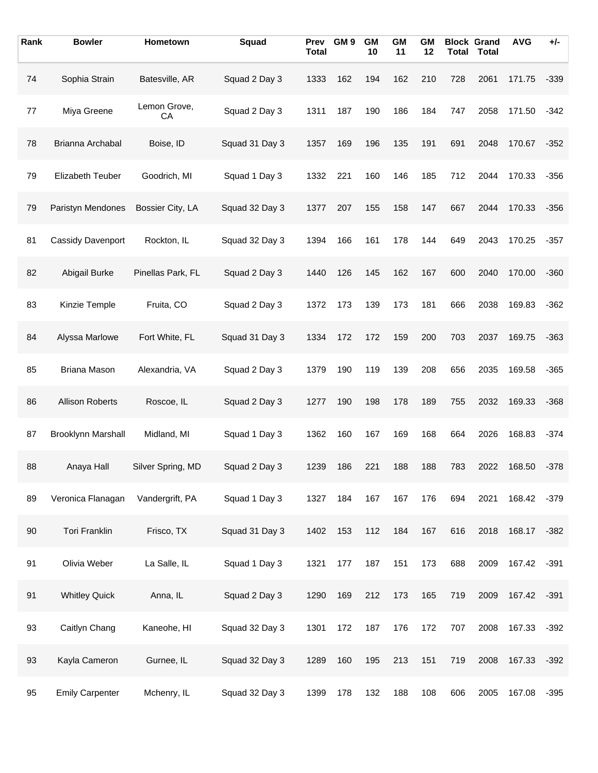| Rank   | <b>Bowler</b>           | Hometown           | Squad          | <b>Prev</b><br><b>Total</b> | GM <sub>9</sub> | <b>GM</b><br>10 | <b>GM</b><br>11 | GΜ<br>12 |     | <b>Block Grand</b><br><b>Total Total</b> | <b>AVG</b> | $+/-$  |
|--------|-------------------------|--------------------|----------------|-----------------------------|-----------------|-----------------|-----------------|----------|-----|------------------------------------------|------------|--------|
| 74     | Sophia Strain           | Batesville, AR     | Squad 2 Day 3  | 1333                        | 162             | 194             | 162             | 210      | 728 | 2061                                     | 171.75     | $-339$ |
| 77     | Miya Greene             | Lemon Grove,<br>СA | Squad 2 Day 3  | 1311                        | 187             | 190             | 186             | 184      | 747 | 2058                                     | 171.50     | $-342$ |
| 78     | Brianna Archabal        | Boise, ID          | Squad 31 Day 3 | 1357                        | 169             | 196             | 135             | 191      | 691 | 2048                                     | 170.67     | $-352$ |
| 79     | <b>Elizabeth Teuber</b> | Goodrich, MI       | Squad 1 Day 3  | 1332                        | 221             | 160             | 146             | 185      | 712 | 2044                                     | 170.33     | $-356$ |
| 79     | Paristyn Mendones       | Bossier City, LA   | Squad 32 Day 3 | 1377                        | 207             | 155             | 158             | 147      | 667 | 2044                                     | 170.33     | $-356$ |
| 81     | Cassidy Davenport       | Rockton, IL        | Squad 32 Day 3 | 1394                        | 166             | 161             | 178             | 144      | 649 | 2043                                     | 170.25     | $-357$ |
| 82     | Abigail Burke           | Pinellas Park, FL  | Squad 2 Day 3  | 1440                        | 126             | 145             | 162             | 167      | 600 | 2040                                     | 170.00     | $-360$ |
| 83     | Kinzie Temple           | Fruita, CO         | Squad 2 Day 3  | 1372                        | 173             | 139             | 173             | 181      | 666 | 2038                                     | 169.83     | $-362$ |
| 84     | Alyssa Marlowe          | Fort White, FL     | Squad 31 Day 3 | 1334                        | 172             | 172             | 159             | 200      | 703 | 2037                                     | 169.75     | $-363$ |
| 85     | <b>Briana Mason</b>     | Alexandria, VA     | Squad 2 Day 3  | 1379                        | 190             | 119             | 139             | 208      | 656 | 2035                                     | 169.58     | $-365$ |
| 86     | <b>Allison Roberts</b>  | Roscoe, IL         | Squad 2 Day 3  | 1277                        | 190             | 198             | 178             | 189      | 755 | 2032                                     | 169.33     | $-368$ |
| 87     | Brooklynn Marshall      | Midland, MI        | Squad 1 Day 3  | 1362                        | 160             | 167             | 169             | 168      | 664 | 2026                                     | 168.83     | -374   |
| 88     | Anaya Hall              | Silver Spring, MD  | Squad 2 Day 3  | 1239                        | 186             | 221             | 188             | 188      | 783 | 2022                                     | 168.50     | $-378$ |
| 89     | Veronica Flanagan       | Vandergrift, PA    | Squad 1 Day 3  | 1327                        | 184             | 167             | 167             | 176      | 694 | 2021                                     | 168.42     | $-379$ |
| $90\,$ | <b>Tori Franklin</b>    | Frisco, TX         | Squad 31 Day 3 | 1402                        | 153             | 112             | 184             | 167      | 616 | 2018                                     | 168.17     | $-382$ |
| 91     | Olivia Weber            | La Salle, IL       | Squad 1 Day 3  | 1321                        | 177             | 187             | 151             | 173      | 688 | 2009                                     | 167.42     | $-391$ |
| 91     | <b>Whitley Quick</b>    | Anna, IL           | Squad 2 Day 3  | 1290                        | 169             | 212             | 173             | 165      | 719 | 2009                                     | 167.42     | $-391$ |
| 93     | Caitlyn Chang           | Kaneohe, HI        | Squad 32 Day 3 | 1301                        | 172             | 187             | 176             | 172      | 707 | 2008                                     | 167.33     | $-392$ |
| 93     | Kayla Cameron           | Gurnee, IL         | Squad 32 Day 3 | 1289                        | 160             | 195             | 213             | 151      | 719 | 2008                                     | 167.33     | $-392$ |
| 95     | <b>Emily Carpenter</b>  | Mchenry, IL        | Squad 32 Day 3 | 1399                        | 178             | 132             | 188             | 108      | 606 | 2005                                     | 167.08     | $-395$ |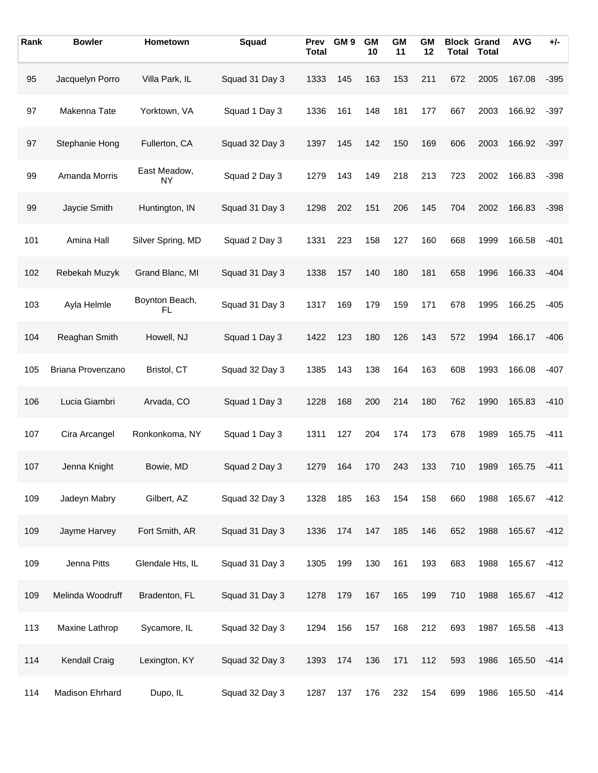| Rank | <b>Bowler</b>     | Hometown             | Squad          | Prev<br><b>Total</b> | GM <sub>9</sub> | <b>GM</b><br>10 | <b>GM</b><br>11 | <b>GM</b><br>12 |     | <b>Block Grand</b><br><b>Total Total</b> | <b>AVG</b> | $+/-$  |
|------|-------------------|----------------------|----------------|----------------------|-----------------|-----------------|-----------------|-----------------|-----|------------------------------------------|------------|--------|
| 95   | Jacquelyn Porro   | Villa Park, IL       | Squad 31 Day 3 | 1333                 | 145             | 163             | 153             | 211             | 672 | 2005                                     | 167.08     | $-395$ |
| 97   | Makenna Tate      | Yorktown, VA         | Squad 1 Day 3  | 1336                 | 161             | 148             | 181             | 177             | 667 | 2003                                     | 166.92     | $-397$ |
| 97   | Stephanie Hong    | Fullerton, CA        | Squad 32 Day 3 | 1397                 | 145             | 142             | 150             | 169             | 606 | 2003                                     | 166.92     | $-397$ |
| 99   | Amanda Morris     | East Meadow,<br>NY   | Squad 2 Day 3  | 1279                 | 143             | 149             | 218             | 213             | 723 | 2002                                     | 166.83     | $-398$ |
| 99   | Jaycie Smith      | Huntington, IN       | Squad 31 Day 3 | 1298                 | 202             | 151             | 206             | 145             | 704 | 2002                                     | 166.83     | $-398$ |
| 101  | Amina Hall        | Silver Spring, MD    | Squad 2 Day 3  | 1331                 | 223             | 158             | 127             | 160             | 668 | 1999                                     | 166.58     | $-401$ |
| 102  | Rebekah Muzyk     | Grand Blanc, MI      | Squad 31 Day 3 | 1338                 | 157             | 140             | 180             | 181             | 658 | 1996                                     | 166.33     | $-404$ |
| 103  | Ayla Helmle       | Boynton Beach,<br>FL | Squad 31 Day 3 | 1317                 | 169             | 179             | 159             | 171             | 678 | 1995                                     | 166.25     | $-405$ |
| 104  | Reaghan Smith     | Howell, NJ           | Squad 1 Day 3  | 1422                 | 123             | 180             | 126             | 143             | 572 | 1994                                     | 166.17     | $-406$ |
| 105  | Briana Provenzano | Bristol, CT          | Squad 32 Day 3 | 1385                 | 143             | 138             | 164             | 163             | 608 | 1993                                     | 166.08     | $-407$ |
| 106  | Lucia Giambri     | Arvada, CO           | Squad 1 Day 3  | 1228                 | 168             | 200             | 214             | 180             | 762 | 1990                                     | 165.83     | $-410$ |
| 107  | Cira Arcangel     | Ronkonkoma, NY       | Squad 1 Day 3  | 1311                 | 127             | 204             | 174             | 173             | 678 | 1989                                     | 165.75     | -411   |
| 107  | Jenna Knight      | Bowie, MD            | Squad 2 Day 3  | 1279                 | 164             | 170             | 243             | 133             | 710 | 1989                                     | 165.75     | $-411$ |
| 109  | Jadeyn Mabry      | Gilbert, AZ          | Squad 32 Day 3 | 1328                 | 185             | 163             | 154             | 158             | 660 | 1988                                     | 165.67     | $-412$ |
| 109  | Jayme Harvey      | Fort Smith, AR       | Squad 31 Day 3 | 1336                 | 174             | 147             | 185             | 146             | 652 | 1988                                     | 165.67     | $-412$ |
| 109  | Jenna Pitts       | Glendale Hts, IL     | Squad 31 Day 3 | 1305                 | 199             | 130             | 161             | 193             | 683 | 1988                                     | 165.67     | $-412$ |
| 109  | Melinda Woodruff  | Bradenton, FL        | Squad 31 Day 3 | 1278                 | 179             | 167             | 165             | 199             | 710 | 1988                                     | 165.67     | $-412$ |
| 113  | Maxine Lathrop    | Sycamore, IL         | Squad 32 Day 3 | 1294                 | 156             | 157             | 168             | 212             | 693 | 1987                                     | 165.58     | $-413$ |
| 114  | Kendall Craig     | Lexington, KY        | Squad 32 Day 3 | 1393                 | 174             | 136             | 171             | 112             | 593 | 1986                                     | 165.50     | $-414$ |
| 114  | Madison Ehrhard   | Dupo, IL             | Squad 32 Day 3 | 1287                 | 137             | 176             | 232             | 154             | 699 | 1986                                     | 165.50     | $-414$ |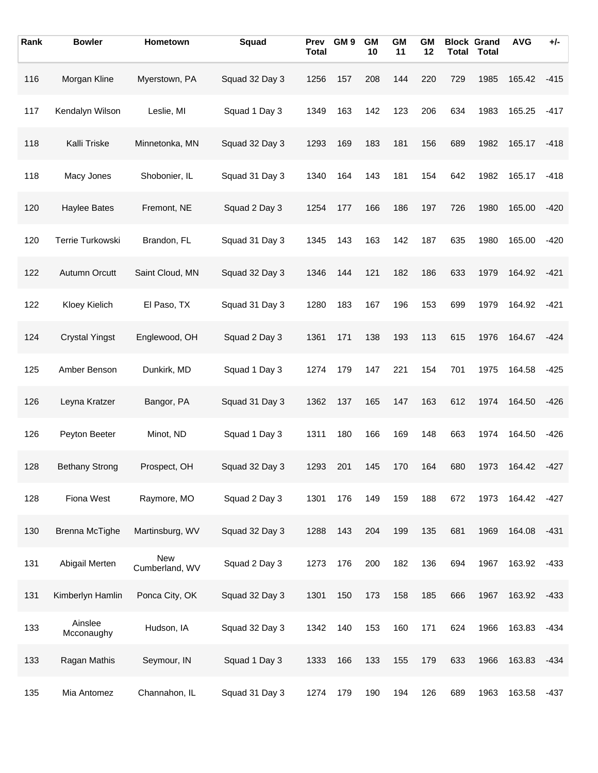| Rank | <b>Bowler</b>         | Hometown                     | Squad          | Prev<br><b>Total</b> | GM <sub>9</sub> | <b>GM</b><br>10 | <b>GM</b><br>11 | <b>GM</b><br>12 | <b>Total</b> | <b>Block Grand</b><br><b>Total</b> | <b>AVG</b> | +/-    |
|------|-----------------------|------------------------------|----------------|----------------------|-----------------|-----------------|-----------------|-----------------|--------------|------------------------------------|------------|--------|
| 116  | Morgan Kline          | Myerstown, PA                | Squad 32 Day 3 | 1256                 | 157             | 208             | 144             | 220             | 729          | 1985                               | 165.42     | $-415$ |
| 117  | Kendalyn Wilson       | Leslie, MI                   | Squad 1 Day 3  | 1349                 | 163             | 142             | 123             | 206             | 634          | 1983                               | 165.25     | $-417$ |
| 118  | Kalli Triske          | Minnetonka, MN               | Squad 32 Day 3 | 1293                 | 169             | 183             | 181             | 156             | 689          | 1982                               | 165.17     | $-418$ |
| 118  | Macy Jones            | Shobonier, IL                | Squad 31 Day 3 | 1340                 | 164             | 143             | 181             | 154             | 642          | 1982                               | 165.17     | $-418$ |
| 120  | <b>Haylee Bates</b>   | Fremont, NE                  | Squad 2 Day 3  | 1254                 | 177             | 166             | 186             | 197             | 726          | 1980                               | 165.00     | $-420$ |
| 120  | Terrie Turkowski      | Brandon, FL                  | Squad 31 Day 3 | 1345                 | 143             | 163             | 142             | 187             | 635          | 1980                               | 165.00     | $-420$ |
| 122  | Autumn Orcutt         | Saint Cloud, MN              | Squad 32 Day 3 | 1346                 | 144             | 121             | 182             | 186             | 633          | 1979                               | 164.92     | $-421$ |
| 122  | Kloey Kielich         | El Paso, TX                  | Squad 31 Day 3 | 1280                 | 183             | 167             | 196             | 153             | 699          | 1979                               | 164.92     | $-421$ |
| 124  | <b>Crystal Yingst</b> | Englewood, OH                | Squad 2 Day 3  | 1361                 | 171             | 138             | 193             | 113             | 615          | 1976                               | 164.67     | $-424$ |
| 125  | Amber Benson          | Dunkirk, MD                  | Squad 1 Day 3  | 1274                 | 179             | 147             | 221             | 154             | 701          | 1975                               | 164.58     | $-425$ |
| 126  | Leyna Kratzer         | Bangor, PA                   | Squad 31 Day 3 | 1362                 | 137             | 165             | 147             | 163             | 612          | 1974                               | 164.50     | $-426$ |
| 126  | Peyton Beeter         | Minot, ND                    | Squad 1 Day 3  | 1311                 | 180             | 166             | 169             | 148             | 663          | 1974                               | 164.50     | $-426$ |
| 128  | <b>Bethany Strong</b> | Prospect, OH                 | Squad 32 Day 3 | 1293                 | 201             | 145             | 170             | 164             | 680          | 1973                               | 164.42     | $-427$ |
| 128  | Fiona West            | Raymore, MO                  | Squad 2 Day 3  | 1301                 | 176             | 149             | 159             | 188             | 672          | 1973                               | 164.42     | $-427$ |
| 130  | <b>Brenna McTighe</b> | Martinsburg, WV              | Squad 32 Day 3 | 1288                 | 143             | 204             | 199             | 135             | 681          | 1969                               | 164.08     | $-431$ |
| 131  | Abigail Merten        | <b>New</b><br>Cumberland, WV | Squad 2 Day 3  | 1273                 | 176             | 200             | 182             | 136             | 694          | 1967                               | 163.92     | $-433$ |
| 131  | Kimberlyn Hamlin      | Ponca City, OK               | Squad 32 Day 3 | 1301                 | 150             | 173             | 158             | 185             | 666          | 1967                               | 163.92     | $-433$ |
| 133  | Ainslee<br>Mcconaughy | Hudson, IA                   | Squad 32 Day 3 | 1342                 | 140             | 153             | 160             | 171             | 624          | 1966                               | 163.83     | $-434$ |
| 133  | Ragan Mathis          | Seymour, IN                  | Squad 1 Day 3  | 1333                 | 166             | 133             | 155             | 179             | 633          | 1966                               | 163.83     | $-434$ |
| 135  | Mia Antomez           | Channahon, IL                | Squad 31 Day 3 | 1274                 | 179             | 190             | 194             | 126             | 689          | 1963                               | 163.58     | $-437$ |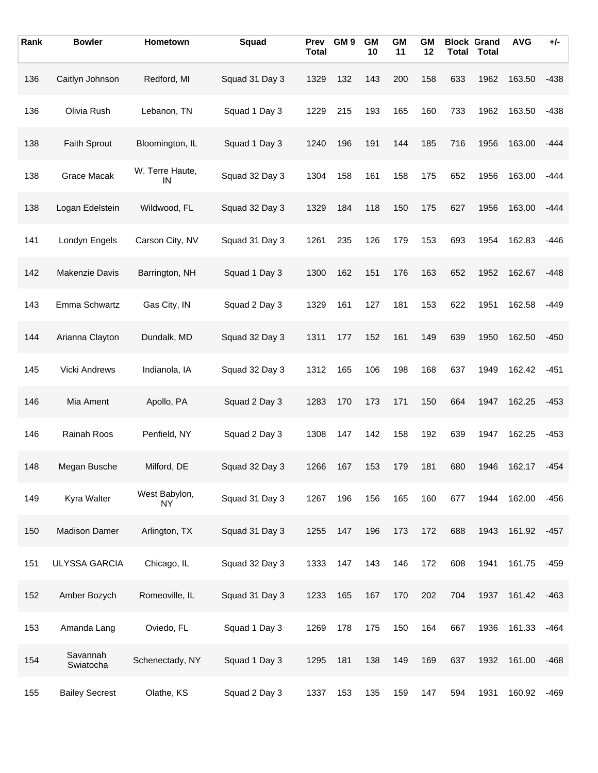| Rank | <b>Bowler</b>         | Hometown              | Squad          | Prev<br><b>Total</b> | GM <sub>9</sub> | <b>GM</b><br>10 | <b>GM</b><br>11 | <b>GM</b><br>12 |     | <b>Block Grand</b><br><b>Total Total</b> | <b>AVG</b> | $+/-$  |
|------|-----------------------|-----------------------|----------------|----------------------|-----------------|-----------------|-----------------|-----------------|-----|------------------------------------------|------------|--------|
| 136  | Caitlyn Johnson       | Redford, MI           | Squad 31 Day 3 | 1329                 | 132             | 143             | 200             | 158             | 633 | 1962                                     | 163.50     | $-438$ |
| 136  | Olivia Rush           | Lebanon, TN           | Squad 1 Day 3  | 1229                 | 215             | 193             | 165             | 160             | 733 | 1962                                     | 163.50     | $-438$ |
| 138  | <b>Faith Sprout</b>   | Bloomington, IL       | Squad 1 Day 3  | 1240                 | 196             | 191             | 144             | 185             | 716 | 1956                                     | 163.00     | $-444$ |
| 138  | Grace Macak           | W. Terre Haute,<br>IN | Squad 32 Day 3 | 1304                 | 158             | 161             | 158             | 175             | 652 | 1956                                     | 163.00     | $-444$ |
| 138  | Logan Edelstein       | Wildwood, FL          | Squad 32 Day 3 | 1329                 | 184             | 118             | 150             | 175             | 627 | 1956                                     | 163.00     | -444   |
| 141  | Londyn Engels         | Carson City, NV       | Squad 31 Day 3 | 1261                 | 235             | 126             | 179             | 153             | 693 | 1954                                     | 162.83     | -446   |
| 142  | Makenzie Davis        | Barrington, NH        | Squad 1 Day 3  | 1300                 | 162             | 151             | 176             | 163             | 652 | 1952                                     | 162.67     | -448   |
| 143  | Emma Schwartz         | Gas City, IN          | Squad 2 Day 3  | 1329                 | 161             | 127             | 181             | 153             | 622 | 1951                                     | 162.58     | $-449$ |
| 144  | Arianna Clayton       | Dundalk, MD           | Squad 32 Day 3 | 1311                 | 177             | 152             | 161             | 149             | 639 | 1950                                     | 162.50     | $-450$ |
| 145  | <b>Vicki Andrews</b>  | Indianola, IA         | Squad 32 Day 3 | 1312                 | 165             | 106             | 198             | 168             | 637 | 1949                                     | 162.42     | $-451$ |
| 146  | Mia Ament             | Apollo, PA            | Squad 2 Day 3  | 1283                 | 170             | 173             | 171             | 150             | 664 | 1947                                     | 162.25     | $-453$ |
| 146  | Rainah Roos           | Penfield, NY          | Squad 2 Day 3  | 1308                 | 147             | 142             | 158             | 192             | 639 | 1947                                     | 162.25     | $-453$ |
| 148  | Megan Busche          | Milford, DE           | Squad 32 Day 3 | 1266                 | 167             | 153             | 179             | 181             | 680 | 1946                                     | 162.17     | -454   |
| 149  | Kyra Walter           | West Babylon,<br>NY   | Squad 31 Day 3 | 1267                 | 196             | 156             | 165             | 160             | 677 | 1944                                     | 162.00     | $-456$ |
| 150  | Madison Damer         | Arlington, TX         | Squad 31 Day 3 | 1255                 | 147             | 196             | 173             | 172             | 688 | 1943                                     | 161.92     | $-457$ |
| 151  | ULYSSA GARCIA         | Chicago, IL           | Squad 32 Day 3 | 1333                 | 147             | 143             | 146             | 172             | 608 | 1941                                     | 161.75     | $-459$ |
| 152  | Amber Bozych          | Romeoville, IL        | Squad 31 Day 3 | 1233                 | 165             | 167             | 170             | 202             | 704 | 1937                                     | 161.42     | $-463$ |
| 153  | Amanda Lang           | Oviedo, FL            | Squad 1 Day 3  | 1269                 | 178             | 175             | 150             | 164             | 667 | 1936                                     | 161.33     | $-464$ |
| 154  | Savannah<br>Swiatocha | Schenectady, NY       | Squad 1 Day 3  | 1295                 | 181             | 138             | 149             | 169             | 637 | 1932                                     | 161.00     | $-468$ |
| 155  | <b>Bailey Secrest</b> | Olathe, KS            | Squad 2 Day 3  | 1337                 | 153             | 135             | 159             | 147             | 594 | 1931                                     | 160.92     | $-469$ |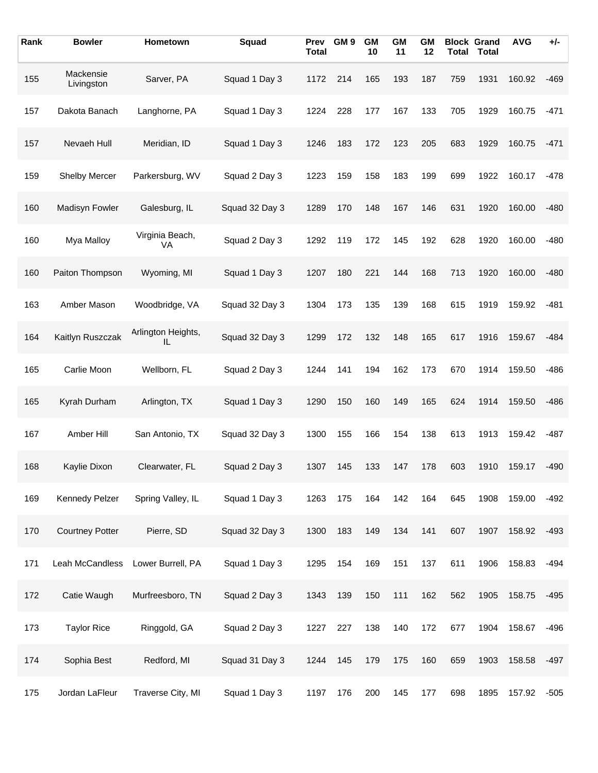| Rank | <b>Bowler</b>           | Hometown                 | Squad          | Prev<br><b>Total</b> | GM <sub>9</sub> | <b>GM</b><br>10 | <b>GM</b><br>11 | <b>GM</b><br>12 | <b>Total</b> | <b>Block Grand</b><br><b>Total</b> | <b>AVG</b> | +/-    |
|------|-------------------------|--------------------------|----------------|----------------------|-----------------|-----------------|-----------------|-----------------|--------------|------------------------------------|------------|--------|
| 155  | Mackensie<br>Livingston | Sarver, PA               | Squad 1 Day 3  | 1172                 | 214             | 165             | 193             | 187             | 759          | 1931                               | 160.92     | $-469$ |
| 157  | Dakota Banach           | Langhorne, PA            | Squad 1 Day 3  | 1224                 | 228             | 177             | 167             | 133             | 705          | 1929                               | 160.75     | $-471$ |
| 157  | Nevaeh Hull             | Meridian, ID             | Squad 1 Day 3  | 1246                 | 183             | 172             | 123             | 205             | 683          | 1929                               | 160.75     | $-471$ |
| 159  | Shelby Mercer           | Parkersburg, WV          | Squad 2 Day 3  | 1223                 | 159             | 158             | 183             | 199             | 699          | 1922                               | 160.17     | $-478$ |
| 160  | Madisyn Fowler          | Galesburg, IL            | Squad 32 Day 3 | 1289                 | 170             | 148             | 167             | 146             | 631          | 1920                               | 160.00     | $-480$ |
| 160  | Mya Malloy              | Virginia Beach,<br>VA    | Squad 2 Day 3  | 1292                 | 119             | 172             | 145             | 192             | 628          | 1920                               | 160.00     | $-480$ |
| 160  | Paiton Thompson         | Wyoming, MI              | Squad 1 Day 3  | 1207                 | 180             | 221             | 144             | 168             | 713          | 1920                               | 160.00     | $-480$ |
| 163  | Amber Mason             | Woodbridge, VA           | Squad 32 Day 3 | 1304                 | 173             | 135             | 139             | 168             | 615          | 1919                               | 159.92     | $-481$ |
| 164  | Kaitlyn Ruszczak        | Arlington Heights,<br>IL | Squad 32 Day 3 | 1299                 | 172             | 132             | 148             | 165             | 617          | 1916                               | 159.67     | $-484$ |
| 165  | Carlie Moon             | Wellborn, FL             | Squad 2 Day 3  | 1244                 | 141             | 194             | 162             | 173             | 670          | 1914                               | 159.50     | $-486$ |
| 165  | Kyrah Durham            | Arlington, TX            | Squad 1 Day 3  | 1290                 | 150             | 160             | 149             | 165             | 624          | 1914                               | 159.50     | $-486$ |
| 167  | Amber Hill              | San Antonio, TX          | Squad 32 Day 3 | 1300                 | 155             | 166             | 154             | 138             | 613          | 1913                               | 159.42     | $-487$ |
| 168  | Kaylie Dixon            | Clearwater, FL           | Squad 2 Day 3  | 1307                 | 145             | 133             | 147             | 178             | 603          | 1910                               | 159.17     | $-490$ |
| 169  | Kennedy Pelzer          | Spring Valley, IL        | Squad 1 Day 3  | 1263                 | 175             | 164             | 142             | 164             | 645          | 1908                               | 159.00     | $-492$ |
| 170  | <b>Courtney Potter</b>  | Pierre, SD               | Squad 32 Day 3 | 1300                 | 183             | 149             | 134             | 141             | 607          | 1907                               | 158.92     | $-493$ |
| 171  | Leah McCandless         | Lower Burrell, PA        | Squad 1 Day 3  | 1295                 | 154             | 169             | 151             | 137             | 611          | 1906                               | 158.83     | $-494$ |
| 172  | Catie Waugh             | Murfreesboro, TN         | Squad 2 Day 3  | 1343                 | 139             | 150             | 111             | 162             | 562          | 1905                               | 158.75     | $-495$ |
| 173  | <b>Taylor Rice</b>      | Ringgold, GA             | Squad 2 Day 3  | 1227                 | 227             | 138             | 140             | 172             | 677          | 1904                               | 158.67     | $-496$ |
| 174  | Sophia Best             | Redford, MI              | Squad 31 Day 3 | 1244                 | 145             | 179             | 175             | 160             | 659          | 1903                               | 158.58     | -497   |
| 175  | Jordan LaFleur          | Traverse City, MI        | Squad 1 Day 3  | 1197                 | 176             | 200             | 145             | 177             | 698          | 1895                               | 157.92     | $-505$ |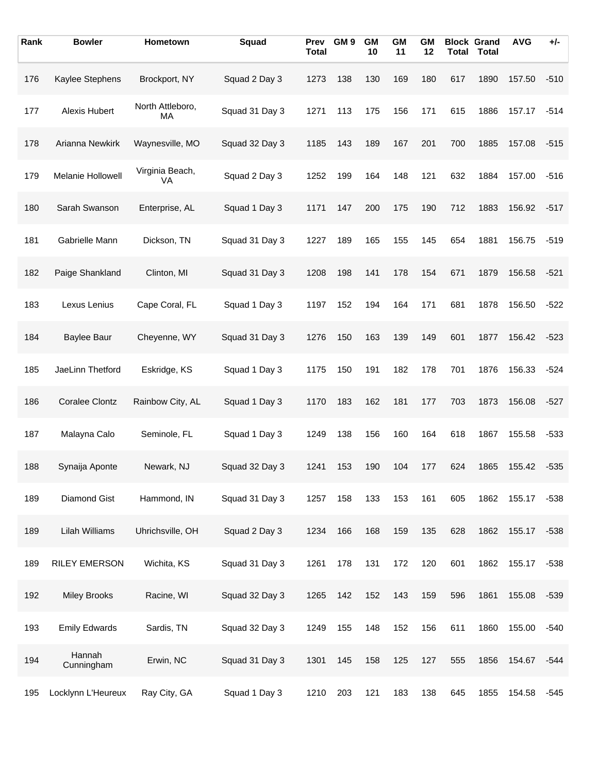| Rank | <b>Bowler</b>         | Hometown               | Squad          | Prev<br><b>Total</b> | GM <sub>9</sub> | <b>GM</b><br>10 | <b>GM</b><br>11 | GΜ<br>12 |     | <b>Block Grand</b><br><b>Total Total</b> | <b>AVG</b> | $+/-$  |
|------|-----------------------|------------------------|----------------|----------------------|-----------------|-----------------|-----------------|----------|-----|------------------------------------------|------------|--------|
| 176  | Kaylee Stephens       | Brockport, NY          | Squad 2 Day 3  | 1273                 | 138             | 130             | 169             | 180      | 617 | 1890                                     | 157.50     | $-510$ |
| 177  | Alexis Hubert         | North Attleboro,<br>МA | Squad 31 Day 3 | 1271                 | 113             | 175             | 156             | 171      | 615 | 1886                                     | 157.17     | $-514$ |
| 178  | Arianna Newkirk       | Waynesville, MO        | Squad 32 Day 3 | 1185                 | 143             | 189             | 167             | 201      | 700 | 1885                                     | 157.08     | $-515$ |
| 179  | Melanie Hollowell     | Virginia Beach,<br>VA  | Squad 2 Day 3  | 1252                 | 199             | 164             | 148             | 121      | 632 | 1884                                     | 157.00     | $-516$ |
| 180  | Sarah Swanson         | Enterprise, AL         | Squad 1 Day 3  | 1171                 | 147             | 200             | 175             | 190      | 712 | 1883                                     | 156.92     | $-517$ |
| 181  | Gabrielle Mann        | Dickson, TN            | Squad 31 Day 3 | 1227                 | 189             | 165             | 155             | 145      | 654 | 1881                                     | 156.75     | $-519$ |
| 182  | Paige Shankland       | Clinton, MI            | Squad 31 Day 3 | 1208                 | 198             | 141             | 178             | 154      | 671 | 1879                                     | 156.58     | $-521$ |
| 183  | Lexus Lenius          | Cape Coral, FL         | Squad 1 Day 3  | 1197                 | 152             | 194             | 164             | 171      | 681 | 1878                                     | 156.50     | $-522$ |
| 184  | <b>Baylee Baur</b>    | Cheyenne, WY           | Squad 31 Day 3 | 1276                 | 150             | 163             | 139             | 149      | 601 | 1877                                     | 156.42     | $-523$ |
| 185  | JaeLinn Thetford      | Eskridge, KS           | Squad 1 Day 3  | 1175                 | 150             | 191             | 182             | 178      | 701 | 1876                                     | 156.33     | $-524$ |
| 186  | <b>Coralee Clontz</b> | Rainbow City, AL       | Squad 1 Day 3  | 1170                 | 183             | 162             | 181             | 177      | 703 | 1873                                     | 156.08     | $-527$ |
| 187  | Malayna Calo          | Seminole, FL           | Squad 1 Day 3  | 1249                 | 138             | 156             | 160             | 164      | 618 | 1867                                     | 155.58     | $-533$ |
| 188  | Synaija Aponte        | Newark, NJ             | Squad 32 Day 3 | 1241                 | 153             | 190             | 104             | 177      | 624 | 1865                                     | 155.42     | $-535$ |
| 189  | Diamond Gist          | Hammond, IN            | Squad 31 Day 3 | 1257                 | 158             | 133             | 153             | 161      | 605 | 1862                                     | 155.17     | $-538$ |
| 189  | Lilah Williams        | Uhrichsville, OH       | Squad 2 Day 3  | 1234                 | 166             | 168             | 159             | 135      | 628 | 1862                                     | 155.17     | $-538$ |
| 189  | <b>RILEY EMERSON</b>  | Wichita, KS            | Squad 31 Day 3 | 1261                 | 178             | 131             | 172             | 120      | 601 | 1862                                     | 155.17     | $-538$ |
| 192  | <b>Miley Brooks</b>   | Racine, WI             | Squad 32 Day 3 | 1265                 | 142             | 152             | 143             | 159      | 596 | 1861                                     | 155.08     | $-539$ |
| 193  | <b>Emily Edwards</b>  | Sardis, TN             | Squad 32 Day 3 | 1249                 | 155             | 148             | 152             | 156      | 611 | 1860                                     | 155.00     | $-540$ |
| 194  | Hannah<br>Cunningham  | Erwin, NC              | Squad 31 Day 3 | 1301                 | 145             | 158             | 125             | 127      | 555 | 1856                                     | 154.67     | $-544$ |
| 195  | Locklynn L'Heureux    | Ray City, GA           | Squad 1 Day 3  | 1210                 | 203             | 121             | 183             | 138      | 645 | 1855                                     | 154.58     | $-545$ |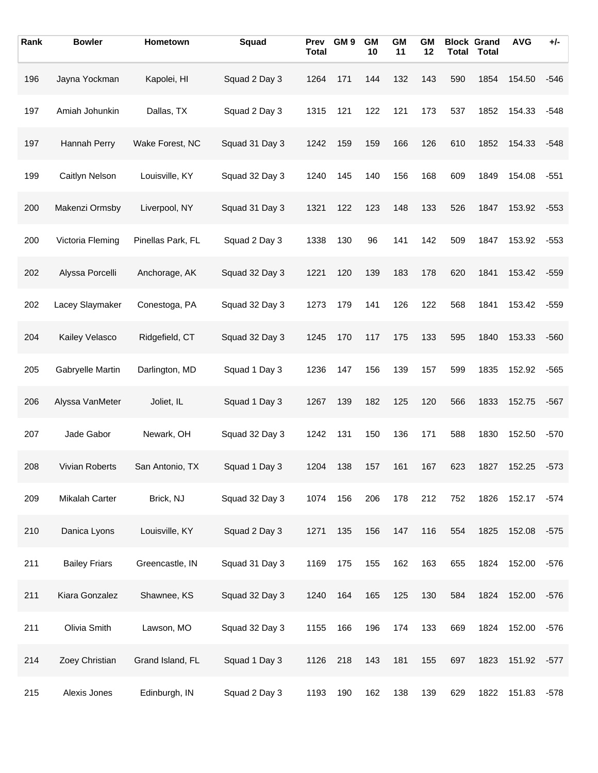| Rank | <b>Bowler</b>         | Hometown          | Squad          | <b>Prev</b><br><b>Total</b> | GM <sub>9</sub> | <b>GM</b><br>10 | <b>GM</b><br>11 | <b>GM</b><br>12 |     | <b>Block Grand</b><br><b>Total Total</b> | <b>AVG</b> | $+/-$  |
|------|-----------------------|-------------------|----------------|-----------------------------|-----------------|-----------------|-----------------|-----------------|-----|------------------------------------------|------------|--------|
| 196  | Jayna Yockman         | Kapolei, HI       | Squad 2 Day 3  | 1264                        | 171             | 144             | 132             | 143             | 590 | 1854                                     | 154.50     | $-546$ |
| 197  | Amiah Johunkin        | Dallas, TX        | Squad 2 Day 3  | 1315                        | 121             | 122             | 121             | 173             | 537 | 1852                                     | 154.33     | $-548$ |
| 197  | Hannah Perry          | Wake Forest, NC   | Squad 31 Day 3 | 1242                        | 159             | 159             | 166             | 126             | 610 | 1852                                     | 154.33     | $-548$ |
| 199  | Caitlyn Nelson        | Louisville, KY    | Squad 32 Day 3 | 1240                        | 145             | 140             | 156             | 168             | 609 | 1849                                     | 154.08     | $-551$ |
| 200  | Makenzi Ormsby        | Liverpool, NY     | Squad 31 Day 3 | 1321                        | 122             | 123             | 148             | 133             | 526 | 1847                                     | 153.92     | $-553$ |
| 200  | Victoria Fleming      | Pinellas Park, FL | Squad 2 Day 3  | 1338                        | 130             | 96              | 141             | 142             | 509 | 1847                                     | 153.92     | $-553$ |
| 202  | Alyssa Porcelli       | Anchorage, AK     | Squad 32 Day 3 | 1221                        | 120             | 139             | 183             | 178             | 620 | 1841                                     | 153.42     | $-559$ |
| 202  | Lacey Slaymaker       | Conestoga, PA     | Squad 32 Day 3 | 1273                        | 179             | 141             | 126             | 122             | 568 | 1841                                     | 153.42     | $-559$ |
| 204  | Kailey Velasco        | Ridgefield, CT    | Squad 32 Day 3 | 1245                        | 170             | 117             | 175             | 133             | 595 | 1840                                     | 153.33     | $-560$ |
| 205  | Gabryelle Martin      | Darlington, MD    | Squad 1 Day 3  | 1236                        | 147             | 156             | 139             | 157             | 599 | 1835                                     | 152.92     | $-565$ |
| 206  | Alyssa VanMeter       | Joliet, IL        | Squad 1 Day 3  | 1267                        | 139             | 182             | 125             | 120             | 566 | 1833                                     | 152.75     | $-567$ |
| 207  | Jade Gabor            | Newark, OH        | Squad 32 Day 3 | 1242                        | 131             | 150             | 136             | 171             | 588 | 1830                                     | 152.50     | $-570$ |
| 208  | <b>Vivian Roberts</b> | San Antonio, TX   | Squad 1 Day 3  | 1204                        | 138             | 157             | 161             | 167             | 623 | 1827                                     | 152.25     | $-573$ |
| 209  | Mikalah Carter        | Brick, NJ         | Squad 32 Day 3 | 1074                        | 156             | 206             | 178             | 212             | 752 | 1826                                     | 152.17     | $-574$ |
| 210  | Danica Lyons          | Louisville, KY    | Squad 2 Day 3  | 1271                        | 135             | 156             | 147             | 116             | 554 | 1825                                     | 152.08     | $-575$ |
| 211  | <b>Bailey Friars</b>  | Greencastle, IN   | Squad 31 Day 3 | 1169                        | 175             | 155             | 162             | 163             | 655 | 1824                                     | 152.00     | $-576$ |
| 211  | Kiara Gonzalez        | Shawnee, KS       | Squad 32 Day 3 | 1240                        | 164             | 165             | 125             | 130             | 584 | 1824                                     | 152.00     | $-576$ |
| 211  | Olivia Smith          | Lawson, MO        | Squad 32 Day 3 | 1155                        | 166             | 196             | 174             | 133             | 669 | 1824                                     | 152.00     | $-576$ |
| 214  | Zoey Christian        | Grand Island, FL  | Squad 1 Day 3  | 1126                        | 218             | 143             | 181             | 155             | 697 | 1823                                     | 151.92     | $-577$ |
| 215  | Alexis Jones          | Edinburgh, IN     | Squad 2 Day 3  | 1193                        | 190             | 162             | 138             | 139             | 629 | 1822                                     | 151.83     | $-578$ |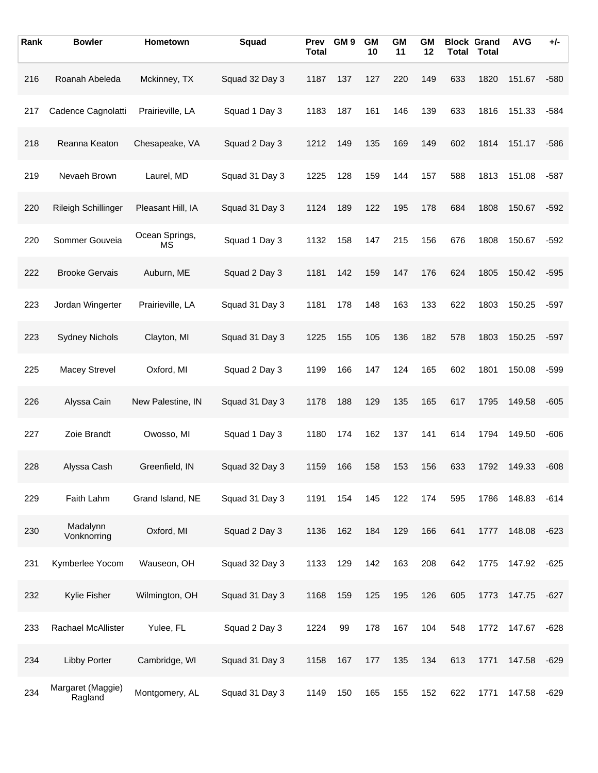| Rank | <b>Bowler</b>                | Hometown             | Squad          | Prev<br><b>Total</b> | GM <sub>9</sub> | <b>GM</b><br>10 | <b>GM</b><br>11 | <b>GM</b><br>12 | <b>Total</b> | <b>Block Grand</b><br><b>Total</b> | <b>AVG</b> | +/-    |
|------|------------------------------|----------------------|----------------|----------------------|-----------------|-----------------|-----------------|-----------------|--------------|------------------------------------|------------|--------|
| 216  | Roanah Abeleda               | Mckinney, TX         | Squad 32 Day 3 | 1187                 | 137             | 127             | 220             | 149             | 633          | 1820                               | 151.67     | $-580$ |
| 217  | Cadence Cagnolatti           | Prairieville, LA     | Squad 1 Day 3  | 1183                 | 187             | 161             | 146             | 139             | 633          | 1816                               | 151.33     | $-584$ |
| 218  | Reanna Keaton                | Chesapeake, VA       | Squad 2 Day 3  | 1212                 | 149             | 135             | 169             | 149             | 602          | 1814                               | 151.17     | $-586$ |
| 219  | Nevaeh Brown                 | Laurel, MD           | Squad 31 Day 3 | 1225                 | 128             | 159             | 144             | 157             | 588          | 1813                               | 151.08     | $-587$ |
| 220  | Rileigh Schillinger          | Pleasant Hill, IA    | Squad 31 Day 3 | 1124                 | 189             | 122             | 195             | 178             | 684          | 1808                               | 150.67     | $-592$ |
| 220  | Sommer Gouveia               | Ocean Springs,<br>MS | Squad 1 Day 3  | 1132                 | 158             | 147             | 215             | 156             | 676          | 1808                               | 150.67     | $-592$ |
| 222  | <b>Brooke Gervais</b>        | Auburn, ME           | Squad 2 Day 3  | 1181                 | 142             | 159             | 147             | 176             | 624          | 1805                               | 150.42     | $-595$ |
| 223  | Jordan Wingerter             | Prairieville, LA     | Squad 31 Day 3 | 1181                 | 178             | 148             | 163             | 133             | 622          | 1803                               | 150.25     | $-597$ |
| 223  | <b>Sydney Nichols</b>        | Clayton, MI          | Squad 31 Day 3 | 1225                 | 155             | 105             | 136             | 182             | 578          | 1803                               | 150.25     | $-597$ |
| 225  | <b>Macey Strevel</b>         | Oxford, MI           | Squad 2 Day 3  | 1199                 | 166             | 147             | 124             | 165             | 602          | 1801                               | 150.08     | $-599$ |
| 226  | Alyssa Cain                  | New Palestine, IN    | Squad 31 Day 3 | 1178                 | 188             | 129             | 135             | 165             | 617          | 1795                               | 149.58     | $-605$ |
| 227  | Zoie Brandt                  | Owosso, MI           | Squad 1 Day 3  | 1180                 | 174             | 162             | 137             | 141             | 614          | 1794                               | 149.50     | $-606$ |
| 228  | Alyssa Cash                  | Greenfield, IN       | Squad 32 Day 3 | 1159                 | 166             | 158             | 153             | 156             | 633          | 1792                               | 149.33     | $-608$ |
| 229  | Faith Lahm                   | Grand Island, NE     | Squad 31 Day 3 | 1191                 | 154             | 145             | 122             | 174             | 595          | 1786                               | 148.83     | $-614$ |
| 230  | Madalynn<br>Vonknorring      | Oxford, MI           | Squad 2 Day 3  | 1136                 | 162             | 184             | 129             | 166             | 641          | 1777                               | 148.08     | $-623$ |
| 231  | Kymberlee Yocom              | Wauseon, OH          | Squad 32 Day 3 | 1133                 | 129             | 142             | 163             | 208             | 642          | 1775                               | 147.92     | $-625$ |
| 232  | Kylie Fisher                 | Wilmington, OH       | Squad 31 Day 3 | 1168                 | 159             | 125             | 195             | 126             | 605          | 1773                               | 147.75     | $-627$ |
| 233  | Rachael McAllister           | Yulee, FL            | Squad 2 Day 3  | 1224                 | 99              | 178             | 167             | 104             | 548          | 1772                               | 147.67     | $-628$ |
| 234  | <b>Libby Porter</b>          | Cambridge, WI        | Squad 31 Day 3 | 1158                 | 167             | 177             | 135             | 134             | 613          | 1771                               | 147.58     | -629   |
| 234  | Margaret (Maggie)<br>Ragland | Montgomery, AL       | Squad 31 Day 3 | 1149                 | 150             | 165             | 155             | 152             | 622          | 1771                               | 147.58     | $-629$ |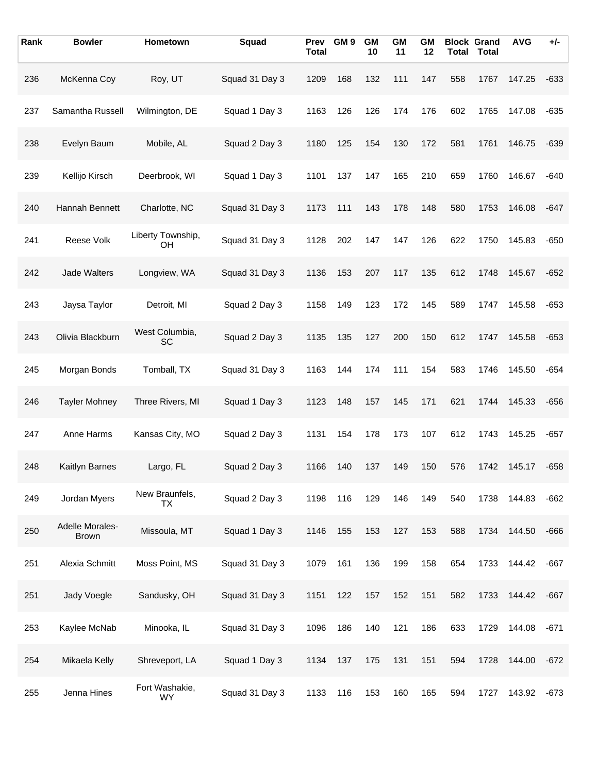| Rank | <b>Bowler</b>                   | Hometown                    | Squad          | Prev<br><b>Total</b> | GM <sub>9</sub> | <b>GM</b><br>10 | <b>GM</b><br>11 | GМ<br>12 |     | <b>Block Grand</b><br><b>Total Total</b> | <b>AVG</b> | $+/-$  |
|------|---------------------------------|-----------------------------|----------------|----------------------|-----------------|-----------------|-----------------|----------|-----|------------------------------------------|------------|--------|
| 236  | McKenna Coy                     | Roy, UT                     | Squad 31 Day 3 | 1209                 | 168             | 132             | 111             | 147      | 558 | 1767                                     | 147.25     | $-633$ |
| 237  | Samantha Russell                | Wilmington, DE              | Squad 1 Day 3  | 1163                 | 126             | 126             | 174             | 176      | 602 | 1765                                     | 147.08     | $-635$ |
| 238  | Evelyn Baum                     | Mobile, AL                  | Squad 2 Day 3  | 1180                 | 125             | 154             | 130             | 172      | 581 | 1761                                     | 146.75     | $-639$ |
| 239  | Kellijo Kirsch                  | Deerbrook, WI               | Squad 1 Day 3  | 1101                 | 137             | 147             | 165             | 210      | 659 | 1760                                     | 146.67     | $-640$ |
| 240  | Hannah Bennett                  | Charlotte, NC               | Squad 31 Day 3 | 1173                 | 111             | 143             | 178             | 148      | 580 | 1753                                     | 146.08     | $-647$ |
| 241  | Reese Volk                      | Liberty Township,<br>OΗ     | Squad 31 Day 3 | 1128                 | 202             | 147             | 147             | 126      | 622 | 1750                                     | 145.83     | $-650$ |
| 242  | Jade Walters                    | Longview, WA                | Squad 31 Day 3 | 1136                 | 153             | 207             | 117             | 135      | 612 | 1748                                     | 145.67     | $-652$ |
| 243  | Jaysa Taylor                    | Detroit, MI                 | Squad 2 Day 3  | 1158                 | 149             | 123             | 172             | 145      | 589 | 1747                                     | 145.58     | $-653$ |
| 243  | Olivia Blackburn                | West Columbia,<br>SC        | Squad 2 Day 3  | 1135                 | 135             | 127             | 200             | 150      | 612 | 1747                                     | 145.58     | $-653$ |
| 245  | Morgan Bonds                    | Tomball, TX                 | Squad 31 Day 3 | 1163                 | 144             | 174             | 111             | 154      | 583 | 1746                                     | 145.50     | $-654$ |
| 246  | <b>Tayler Mohney</b>            | Three Rivers, MI            | Squad 1 Day 3  | 1123                 | 148             | 157             | 145             | 171      | 621 | 1744                                     | 145.33     | $-656$ |
| 247  | Anne Harms                      | Kansas City, MO             | Squad 2 Day 3  | 1131                 | 154             | 178             | 173             | 107      | 612 | 1743                                     | 145.25     | $-657$ |
| 248  | <b>Kaitlyn Barnes</b>           | Largo, FL                   | Squad 2 Day 3  | 1166                 | 140             | 137             | 149             | 150      | 576 | 1742                                     | 145.17     | $-658$ |
| 249  | Jordan Myers                    | New Braunfels,<br>TX        | Squad 2 Day 3  | 1198                 | 116             | 129             | 146             | 149      | 540 | 1738                                     | 144.83     | $-662$ |
| 250  | Adelle Morales-<br><b>Brown</b> | Missoula, MT                | Squad 1 Day 3  | 1146                 | 155             | 153             | 127             | 153      | 588 | 1734                                     | 144.50     | $-666$ |
| 251  | Alexia Schmitt                  | Moss Point, MS              | Squad 31 Day 3 | 1079                 | 161             | 136             | 199             | 158      | 654 | 1733                                     | 144.42     | $-667$ |
| 251  | Jady Voegle                     | Sandusky, OH                | Squad 31 Day 3 | 1151                 | 122             | 157             | 152             | 151      | 582 | 1733                                     | 144.42     | $-667$ |
| 253  | Kaylee McNab                    | Minooka, IL                 | Squad 31 Day 3 | 1096                 | 186             | 140             | 121             | 186      | 633 | 1729                                     | 144.08     | $-671$ |
| 254  | Mikaela Kelly                   | Shreveport, LA              | Squad 1 Day 3  | 1134                 | 137             | 175             | 131             | 151      | 594 | 1728                                     | 144.00     | $-672$ |
| 255  | Jenna Hines                     | Fort Washakie,<br><b>WY</b> | Squad 31 Day 3 | 1133                 | 116             | 153             | 160             | 165      | 594 | 1727                                     | 143.92     | $-673$ |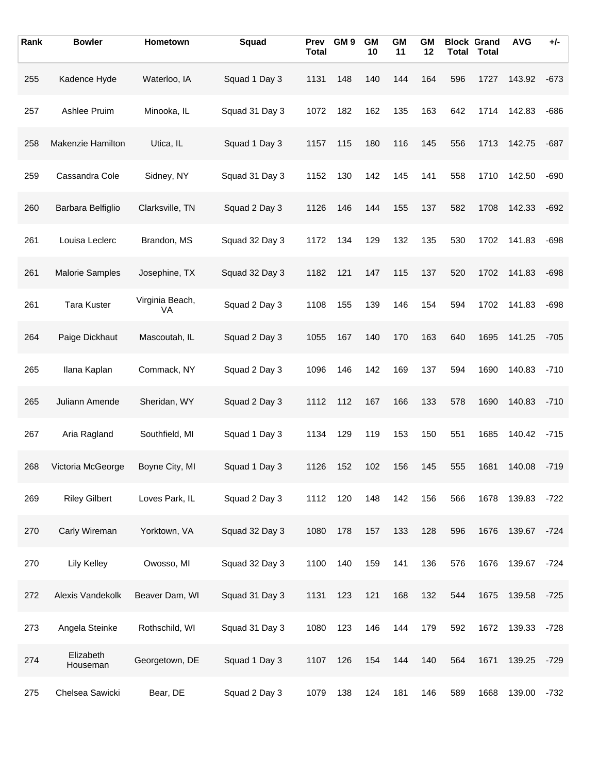| Rank | <b>Bowler</b>          | Hometown              | Squad          | Prev<br><b>Total</b> | GM <sub>9</sub> | <b>GM</b><br>10 | <b>GM</b><br>11 | <b>GM</b><br>12 | <b>Total</b> | <b>Block Grand</b><br><b>Total</b> | <b>AVG</b> | $+/-$  |
|------|------------------------|-----------------------|----------------|----------------------|-----------------|-----------------|-----------------|-----------------|--------------|------------------------------------|------------|--------|
| 255  | Kadence Hyde           | Waterloo, IA          | Squad 1 Day 3  | 1131                 | 148             | 140             | 144             | 164             | 596          | 1727                               | 143.92     | $-673$ |
| 257  | Ashlee Pruim           | Minooka, IL           | Squad 31 Day 3 | 1072                 | 182             | 162             | 135             | 163             | 642          | 1714                               | 142.83     | $-686$ |
| 258  | Makenzie Hamilton      | Utica, IL             | Squad 1 Day 3  | 1157                 | 115             | 180             | 116             | 145             | 556          | 1713                               | 142.75     | $-687$ |
| 259  | Cassandra Cole         | Sidney, NY            | Squad 31 Day 3 | 1152                 | 130             | 142             | 145             | 141             | 558          | 1710                               | 142.50     | $-690$ |
| 260  | Barbara Belfiglio      | Clarksville, TN       | Squad 2 Day 3  | 1126                 | 146             | 144             | 155             | 137             | 582          | 1708                               | 142.33     | $-692$ |
| 261  | Louisa Leclerc         | Brandon, MS           | Squad 32 Day 3 | 1172                 | 134             | 129             | 132             | 135             | 530          | 1702                               | 141.83     | $-698$ |
| 261  | <b>Malorie Samples</b> | Josephine, TX         | Squad 32 Day 3 | 1182                 | 121             | 147             | 115             | 137             | 520          | 1702                               | 141.83     | $-698$ |
| 261  | <b>Tara Kuster</b>     | Virginia Beach,<br>VA | Squad 2 Day 3  | 1108                 | 155             | 139             | 146             | 154             | 594          | 1702                               | 141.83     | $-698$ |
| 264  | Paige Dickhaut         | Mascoutah, IL         | Squad 2 Day 3  | 1055                 | 167             | 140             | 170             | 163             | 640          | 1695                               | 141.25     | $-705$ |
| 265  | Ilana Kaplan           | Commack, NY           | Squad 2 Day 3  | 1096                 | 146             | 142             | 169             | 137             | 594          | 1690                               | 140.83     | $-710$ |
| 265  | Juliann Amende         | Sheridan, WY          | Squad 2 Day 3  | 1112                 | 112             | 167             | 166             | 133             | 578          | 1690                               | 140.83     | $-710$ |
| 267  | Aria Ragland           | Southfield, MI        | Squad 1 Day 3  | 1134                 | 129             | 119             | 153             | 150             | 551          | 1685                               | 140.42     | $-715$ |
| 268  | Victoria McGeorge      | Boyne City, MI        | Squad 1 Day 3  | 1126                 | 152             | 102             | 156             | 145             | 555          | 1681                               | 140.08     | $-719$ |
| 269  | <b>Riley Gilbert</b>   | Loves Park, IL        | Squad 2 Day 3  | 1112                 | 120             | 148             | 142             | 156             | 566          | 1678                               | 139.83     | $-722$ |
| 270  | Carly Wireman          | Yorktown, VA          | Squad 32 Day 3 | 1080                 | 178             | 157             | 133             | 128             | 596          | 1676                               | 139.67     | $-724$ |
| 270  | Lily Kelley            | Owosso, MI            | Squad 32 Day 3 | 1100                 | 140             | 159             | 141             | 136             | 576          | 1676                               | 139.67     | $-724$ |
| 272  | Alexis Vandekolk       | Beaver Dam, WI        | Squad 31 Day 3 | 1131                 | 123             | 121             | 168             | 132             | 544          | 1675                               | 139.58     | $-725$ |
| 273  | Angela Steinke         | Rothschild, WI        | Squad 31 Day 3 | 1080                 | 123             | 146             | 144             | 179             | 592          | 1672                               | 139.33     | -728   |
| 274  | Elizabeth<br>Houseman  | Georgetown, DE        | Squad 1 Day 3  | 1107                 | 126             | 154             | 144             | 140             | 564          | 1671                               | 139.25     | -729   |
| 275  | Chelsea Sawicki        | Bear, DE              | Squad 2 Day 3  | 1079                 | 138             | 124             | 181             | 146             | 589          | 1668                               | 139.00     | $-732$ |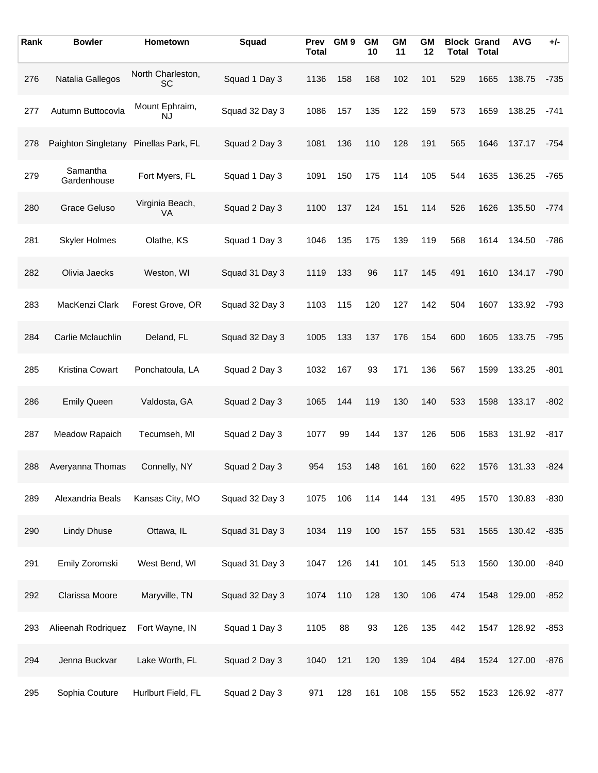| Rank | <b>Bowler</b>           | Hometown                    | Squad          | <b>Prev</b><br><b>Total</b> | GM <sub>9</sub> | <b>GM</b><br>10 | <b>GM</b><br>11 | <b>GM</b><br>12 | <b>Total</b> | <b>Block Grand</b><br><b>Total</b> | <b>AVG</b> | +/-    |
|------|-------------------------|-----------------------------|----------------|-----------------------------|-----------------|-----------------|-----------------|-----------------|--------------|------------------------------------|------------|--------|
| 276  | Natalia Gallegos        | North Charleston,<br>SC     | Squad 1 Day 3  | 1136                        | 158             | 168             | 102             | 101             | 529          | 1665                               | 138.75     | $-735$ |
| 277  | Autumn Buttocovla       | Mount Ephraim,<br><b>NJ</b> | Squad 32 Day 3 | 1086                        | 157             | 135             | 122             | 159             | 573          | 1659                               | 138.25     | $-741$ |
| 278  | Paighton Singletany     | Pinellas Park, FL           | Squad 2 Day 3  | 1081                        | 136             | 110             | 128             | 191             | 565          | 1646                               | 137.17     | $-754$ |
| 279  | Samantha<br>Gardenhouse | Fort Myers, FL              | Squad 1 Day 3  | 1091                        | 150             | 175             | 114             | 105             | 544          | 1635                               | 136.25     | $-765$ |
| 280  | Grace Geluso            | Virginia Beach,<br>VA       | Squad 2 Day 3  | 1100                        | 137             | 124             | 151             | 114             | 526          | 1626                               | 135.50     | $-774$ |
| 281  | <b>Skyler Holmes</b>    | Olathe, KS                  | Squad 1 Day 3  | 1046                        | 135             | 175             | 139             | 119             | 568          | 1614                               | 134.50     | $-786$ |
| 282  | Olivia Jaecks           | Weston, WI                  | Squad 31 Day 3 | 1119                        | 133             | 96              | 117             | 145             | 491          | 1610                               | 134.17     | $-790$ |
| 283  | MacKenzi Clark          | Forest Grove, OR            | Squad 32 Day 3 | 1103                        | 115             | 120             | 127             | 142             | 504          | 1607                               | 133.92     | $-793$ |
| 284  | Carlie Mclauchlin       | Deland, FL                  | Squad 32 Day 3 | 1005                        | 133             | 137             | 176             | 154             | 600          | 1605                               | 133.75     | $-795$ |
| 285  | Kristina Cowart         | Ponchatoula, LA             | Squad 2 Day 3  | 1032                        | 167             | 93              | 171             | 136             | 567          | 1599                               | 133.25     | $-801$ |
| 286  | <b>Emily Queen</b>      | Valdosta, GA                | Squad 2 Day 3  | 1065                        | 144             | 119             | 130             | 140             | 533          | 1598                               | 133.17     | $-802$ |
| 287  | Meadow Rapaich          | Tecumseh, MI                | Squad 2 Day 3  | 1077                        | 99              | 144             | 137             | 126             | 506          | 1583                               | 131.92     | $-817$ |
| 288  | Averyanna Thomas        | Connelly, NY                | Squad 2 Day 3  | 954                         | 153             | 148             | 161             | 160             | 622          | 1576                               | 131.33     | $-824$ |
| 289  | Alexandria Beals        | Kansas City, MO             | Squad 32 Day 3 | 1075                        | 106             | 114             | 144             | 131             | 495          | 1570                               | 130.83     | $-830$ |
| 290  | <b>Lindy Dhuse</b>      | Ottawa, IL                  | Squad 31 Day 3 | 1034                        | 119             | 100             | 157             | 155             | 531          | 1565                               | 130.42     | $-835$ |
| 291  | Emily Zoromski          | West Bend, WI               | Squad 31 Day 3 | 1047                        | 126             | 141             | 101             | 145             | 513          | 1560                               | 130.00     | $-840$ |
| 292  | Clarissa Moore          | Maryville, TN               | Squad 32 Day 3 | 1074                        | 110             | 128             | 130             | 106             | 474          | 1548                               | 129.00     | $-852$ |
| 293  | Alieenah Rodriquez      | Fort Wayne, IN              | Squad 1 Day 3  | 1105                        | 88              | 93              | 126             | 135             | 442          | 1547                               | 128.92     | $-853$ |
| 294  | Jenna Buckvar           | Lake Worth, FL              | Squad 2 Day 3  | 1040                        | 121             | 120             | 139             | 104             | 484          | 1524                               | 127.00     | $-876$ |
| 295  | Sophia Couture          | Hurlburt Field, FL          | Squad 2 Day 3  | 971                         | 128             | 161             | 108             | 155             | 552          | 1523                               | 126.92     | $-877$ |